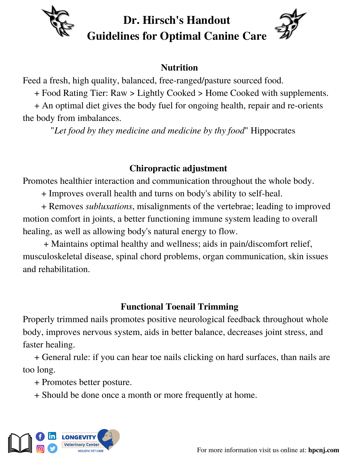

# **Dr. Hirsch's Handout Guidelines for Optimal Canine Care**

### **Nutrition**

Feed a fresh, high quality, balanced, free-ranged/pasture sourced food.

+ Food Rating Tier: Raw > Lightly Cooked > Home Cooked with supplements.

+ An optimal diet gives the body fuel for ongoing health, repair and re-orients the body from imbalances.

"*Let food by they medicine and medicine by thy food*" Hippocrates

## **Chiropractic adjustment**

Promotes healthier interaction and communication throughout the whole body.

+ Improves overall health and turns on body's ability to self-heal.

+ Removes *subluxations*, misalignments of the vertebrae; leading to improved motion comfort in joints, a better functioning immune system leading to overall healing, as well as allowing body's natural energy to flow.

+ Maintains optimal healthy and wellness; aids in pain/discomfort relief, musculoskeletal disease, spinal chord problems, organ communication, skin issues and rehabilitation.

#### **Functional Toenail Trimming**

Properly trimmed nails promotes positive neurological feedback throughout whole body, improves nervous system, aids in better balance, decreases joint stress, and faster healing.

+ General rule: if you can hear toe nails clicking on hard surfaces, than nails are too long.

+ Promotes better posture.

+ Should be done once a month or more frequently at home.

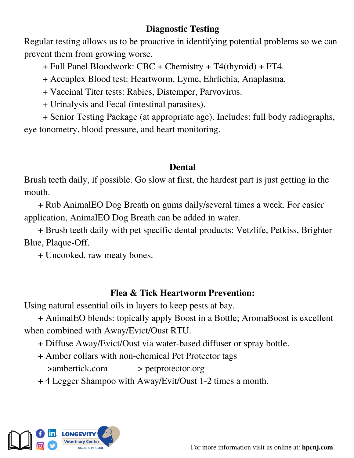#### **Diagnostic Testing**

Regular testing allows us to be proactive in identifying potential problems so we can prevent them from growing worse.

+ Full Panel Bloodwork: CBC + Chemistry + T4(thyroid) + FT4.

+ Accuplex Blood test: Heartworm, Lyme, Ehrlichia, Anaplasma.

+ Vaccinal Titer tests: Rabies, Distemper, Parvovirus.

+ Urinalysis and Fecal (intestinal parasites).

+ Senior Testing Package (at appropriate age). Includes: full body radiographs, eye tonometry, blood pressure, and heart monitoring.

#### **Dental**

Brush teeth daily, if possible. Go slow at first, the hardest part is just getting in the mouth.

+ Rub AnimalEO Dog Breath on gums daily/several times a week. For easier application, AnimalEO Dog Breath can be added in water.

+ Brush teeth daily with pet specific dental products: Vetzlife, Petkiss, Brighter Blue, Plaque-Off.

+ Uncooked, raw meaty bones.

## **Flea & Tick Heartworm Prevention:**

Using natural essential oils in layers to keep pests at bay.

+ AnimalEO blends: topically apply Boost in a Bottle; AromaBoost is excellent when combined with Away/Evict/Oust RTU.

+ Diffuse Away/Evict/Oust via water-based diffuser or spray bottle.

- + Amber collars with non-chemical Pet Protector tags
	- >ambertick.com > petprotector.org
- + 4 Legger Shampoo with Away/Evit/Oust 1-2 times a month.